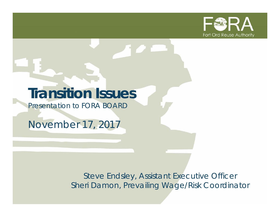

# **Transition Issues**

*Presentation to FORA BOARD*

*November 17, 2017*

*Steve Endsley, Assistant Executive Officer Sheri Damon, Prevailing Wage/Risk Coordinator*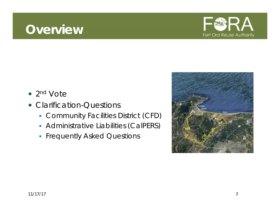### **Overview**



- 2<sup>nd</sup> Vote
- Clarification-Questions
	- Community Facilities District (CFD)
	- **Administrative Liabilities (CalPERS)**
	- **Filte Separate Separate Separate Separate Separate Separate Separate Separate Separate Separate Separate Separate Separate Separate Separate Separate Separate Separate Separate Separate Separate Separate Separate Separate**

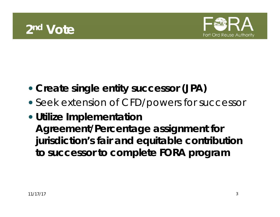



- **Create single entity successor (JPA)**
- Seek extension of CFD/powers for successor
- **Utilize Implementation Agreement/Percentage assignment for jurisdiction's fair and equitable contribution to successor to complete FORA program**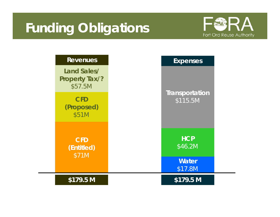# **Funding Obligations**



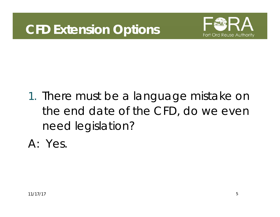

# 1. There must be a language mistake on the end date of the CFD, do we even need legislation?

A: Yes.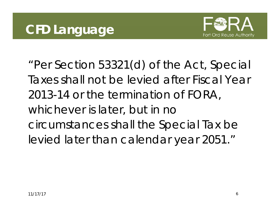

"Per Section 53321(d) of the Act, Special Taxes shall not be levied after Fiscal Year 2013-14 or the termination of FORA, whichever is later, but in no circumstances shall the Special Tax be levied later than calendar year 2051."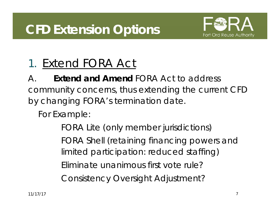

## 1. Extend FORA Act

A. **Extend and Amend** FORA Act to address community concerns, thus extending the current CFD by changing FORA's termination date.

For Example:

FORA Lite (only member jurisdictions) FORA Shell (retaining financing powers and limited participation: reduced staffing) Eliminate unanimous first vote rule? Consistency Oversight Adjustment?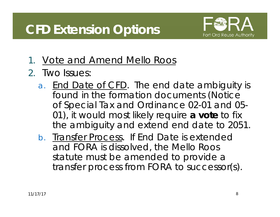

- 1. Vote and Amend Mello Roos
- 2. Two Issues:
	- a. End Date of CFD. The end date ambiguity is found in the formation documents (Notice of Special Tax and Ordinance 02-01 and 05- 01), it would most likely require **a vote** to fix the ambiguity and extend end date to 2051.
	- b. Transfer Process. If End Date is extended and FORA is dissolved, the Mello Roos statute must be amended to provide a transfer process from FORA to successor(s).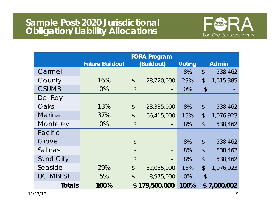

|                  |                        |                            | <b>FORA Program</b> |               |                            |              |
|------------------|------------------------|----------------------------|---------------------|---------------|----------------------------|--------------|
|                  | <b>Future Buildout</b> |                            | (Buildout)          | <b>Voting</b> |                            | <b>Admin</b> |
| Carmel           |                        |                            |                     | 8%            | $\mathcal{L}$              | 538,462      |
| County           | 16%                    | $\boldsymbol{\mathsf{S}}$  | 28,720,000          | 23%           | $\frac{1}{2}$              | 1,615,385    |
| <b>CSUMB</b>     | $0\%$                  | $\boldsymbol{\mathsf{S}}$  |                     | 0%            | $\boldsymbol{\mathsf{S}}$  |              |
| Del Rey          |                        |                            |                     |               |                            |              |
| Oaks             | 13%                    | $\boldsymbol{\mathcal{L}}$ | 23,335,000          | 8%            | $\boldsymbol{\mathsf{S}}$  | 538,462      |
| Marina           | 37%                    | $\frac{1}{2}$              | 66,415,000          | 15%           | $\boldsymbol{\mathsf{S}}$  | 1,076,923    |
| Monterey         | 0%                     | $\boldsymbol{\mathcal{L}}$ |                     | 8%            | $\mathcal{L}$              | 538,462      |
| Pacific          |                        |                            |                     |               |                            |              |
| Grove            |                        | $\boldsymbol{\mathcal{L}}$ |                     | 8%            | $\boldsymbol{\mathsf{S}}$  | 538,462      |
| Salinas          |                        | $\mathcal{S}$              | -                   | 8%            | $\boldsymbol{\mathsf{S}}$  | 538,462      |
| <b>Sand City</b> |                        | $\boldsymbol{\mathcal{L}}$ |                     | 8%            | $\boldsymbol{\mathsf{\$}}$ | 538,462      |
| Seaside          | 29%                    | $\boldsymbol{\mathsf{S}}$  | 52,055,000          | 15%           | $\mathcal{L}$              | 1,076,923    |
| <b>UC MBEST</b>  | 5%                     | $\frac{1}{2}$              | 8,975,000           | 0%            | $\boldsymbol{\mathsf{S}}$  |              |
| <b>Totals</b>    | 100%                   |                            | \$179,500,000       | 100%          |                            | \$7,000,002  |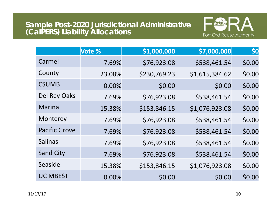# **Sample Post-2020 Jurisdictional Administrative (CalPERS) Liability Allocations**



|                      | Vote % | \$1,000,000  | \$7,000,000    | \$0    |
|----------------------|--------|--------------|----------------|--------|
| Carmel               | 7.69%  | \$76,923.08  | \$538,461.54   | \$0.00 |
| County               | 23.08% | \$230,769.23 | \$1,615,384.62 | \$0.00 |
| <b>CSUMB</b>         | 0.00%  | \$0.00       | \$0.00         | \$0.00 |
| Del Rey Oaks         | 7.69%  | \$76,923.08  | \$538,461.54   | \$0.00 |
| Marina               | 15.38% | \$153,846.15 | \$1,076,923.08 | \$0.00 |
| Monterey             | 7.69%  | \$76,923.08  | \$538,461.54   | \$0.00 |
| <b>Pacific Grove</b> | 7.69%  | \$76,923.08  | \$538,461.54   | \$0.00 |
| <b>Salinas</b>       | 7.69%  | \$76,923.08  | \$538,461.54   | \$0.00 |
| <b>Sand City</b>     | 7.69%  | \$76,923.08  | \$538,461.54   | \$0.00 |
| Seaside              | 15.38% | \$153,846.15 | \$1,076,923.08 | \$0.00 |
| <b>UC MBEST</b>      | 0.00%  | \$0.00       | \$0.00         | \$0.00 |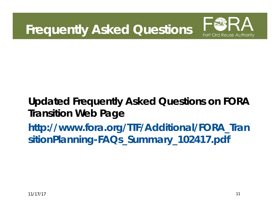**Frequently Asked Questions**



#### **Updated Frequently Asked Questions on FORA Transition Web Page http://www.fora.org/TTF/Additional/FORA\_Tran sitionPlanning-FAQs\_Summary\_102417.pdf**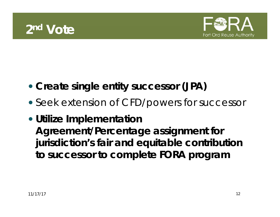



- **Create single entity successor (JPA)**
- Seek extension of CFD/powers for successor
- **Utilize Implementation Agreement/Percentage assignment for jurisdiction's fair and equitable contribution to successor to complete FORA program**